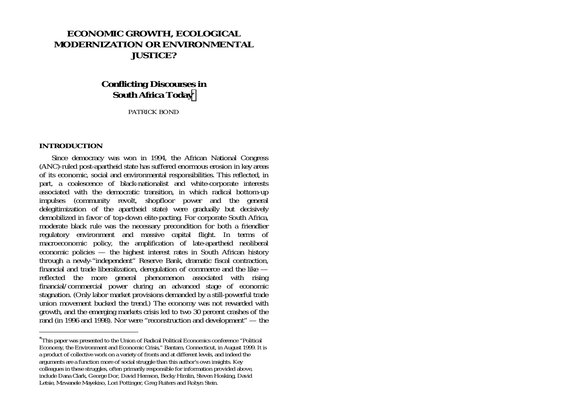# **ECONOMIC GROWTH, ECOLOGICAL MODERNIZATION OR ENVIRONMENTAL JUSTICE?**

## **Conflicting Discourses in South Africa Today**\*

PATRICK BOND

### **INTRODUCTION**

Since democracy was won in 1994, the African National Congress (ANC)-ruled post-apartheid state has suffered enormous erosion in key areas of its economic, social and environmental responsibilities. This reflected, in part, a coalescence of black-nationalist and white-corporate interests associated with the democratic transition, in which radical bottom-up impulses (community revolt, shopfloor power and the general delegitimization of the apartheid state) were gradually but decisively demobilized in favor of top-down elite-pacting. For corporate South Africa, moderate black rule was the necessary precondition for both a friendlier regulatory environment and massive capital flight. In terms of macroeconomic policy, the amplification of late-apartheid neoliberal economic policies — the highest interest rates in South African history through a newly-"independent" Reserve Bank, dramatic fiscal contraction, financial and trade liberalization, deregulation of commerce and the like reflected the more general phenomenon associated with rising financial/commercial power during an advanced stage of economic stagnation. (Only labor market provisions demanded by a still-powerful trade union movement bucked the trend.) The economy was not rewarded with growth, and the emerging markets crisis led to two 30 percent crashes of the rand (in 1996 and 1998). Nor were "reconstruction and development" — the

<sup>\*</sup>This paper was presented to the Union of Radical Political Economics conference "Political Economy, the Environment and Economic Crisis," Bantam, Connecticut, in August 1999. It is a product of collective work on a variety of fronts and at different levels, and indeed the arguments are a function more of social struggle than this author's own insights. Key colleagues in these struggles, often primarily responsible for information provided above, include Dana Clark, George Dor, David Hemson, Becky Himlin, Steven Hosking, David Letsie, Mzwanele Mayekiso, Lori Pottinger, Greg Ruiters and Robyn Stein.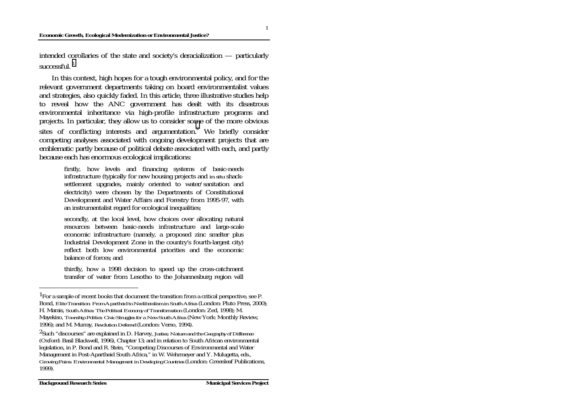#### **Economic Growth, Ecological Modernization or Environmental Justice?**

1

intended corollaries of the state and society's deracialization — particularly successful.  $1$ 

In this context, high hopes for a tough environmental policy, and for the relevant government departments taking on board environmentalist values and strategies, also quickly faded. In this article, three illustrative studies help to reveal how the ANC government has dealt with its disastrous environmental inheritance via high-profile infrastructure programs and projects. In particular, they allow us to consider some of the more obvious sites of conflicting interests and argumentation.<sup>2</sup> We briefly consider competing analyses associated with ongoing development projects that are emblematic partly because of political debate associated with each, and partly because each has enormous ecological implications:

> firstly, how levels and financing systems of basic-needs infrastructure (typically for new housing projects and *in situ* shacksettlement upgrades, mainly oriented to water/sanitation and electricity) were chosen by the Departments of Constitutional Development and Water Affairs and Forestry from 1995-97, with an instrumentalist regard for ecological inequalities;

> secondly, at the local level, how choices over allocating natural resources between basic-needs infrastructure and large-scale economic infrastructure (namely, a proposed zinc smelter plus Industrial Development Zone in the country's fourth-largest city) reflect both low environmental priorities and the economic balance of forces; and

> thirdly, how a 1998 decision to speed up the cross-catchment transfer of water from Lesotho to the Johannesburg region will

<sup>1</sup>For a sample of recent books that document the transition from a critical perspective, see P. Bond, *Elite Transition: From Apartheid to Neoliberalism in South Africa* (London: Pluto Press, 2000); H. Marais, *South Africa: The Political Economy of Transformation* (London: Zed, 1998); M. Mayekiso, *Township Politics: Civic Struggles for a New South Africa* (New York: Monthly Review, 1996); and M. Murray, *Revolution Deferred* (London: Verso, 1994).

<sup>2</sup>Such "discourses" are explained in D. Harvey, *Justice, Nature and the Geography of Difference* (Oxford: Basil Blackwell, 1996), Chapter 13; and in relation to South African environmental legislation, in P. Bond and R. Stein, "Competing Discourses of Environmental and Water Management in Post-Apartheid South Africa," in W. Wehrmeyer and Y. Mulugetta, eds., *Growing Pains: Environmental Management in Developing Countries* (London: Greenleaf Publications, 1999).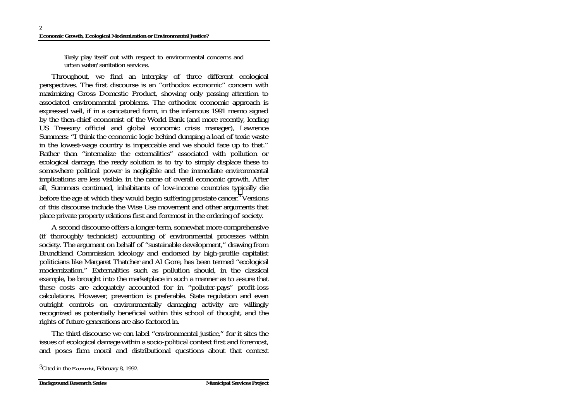likely play itself out with respect to environmental concerns and urban water/sanitation services.

Throughout, we find an interplay of three different ecological perspectives. The first discourse is an "orthodox economic" concern with maximizing Gross Domestic Product, showing only passing attention to associated environmental problems. The orthodox economic approach is expressed well, if in a caricatured form, in the infamous 1991 memo signed by the then-chief economist of the World Bank (and more recently, leading US Treasury official and global economic crisis manager), Lawrence Summers: "I think the economic logic behind dumping a load of toxic waste in the lowest-wage country is impeccable and we should face up to that." Rather than "internalize the externalities" associated with pollution or ecological damage, the ready solution is to try to simply displace these to somewhere political power is negligible and the immediate environmental implications are less visible, in the name of overall economic growth. After all, Summers continued, inhabitants of low-income countries typically die before the age at which they would begin suffering prostate cancer.<sup>3</sup> Versions of this discourse include the Wise Use movement and other arguments that place private property relations first and foremost in the ordering of society.

A second discourse offers a longer-term, somewhat more comprehensive (if thoroughly technicist) accounting of environmental processes within society. The argument on behalf of "sustainable development," drawing from Brundtland Commission ideology and endorsed by high-profile capitalist politicians like Margaret Thatcher and Al Gore, has been termed "ecological modernization." Externalities such as pollution should, in the classical example, be brought into the marketplace in such a manner as to assure that these costs are adequately accounted for in "polluter-pays" profit-loss calculations. However, prevention is preferable. State regulation and even outright controls on environmentally damaging activity are willingly recognized as potentially beneficial within this school of thought, and the rights of future generations are also factored in.

The third discourse we can label "environmental justice," for it sites the issues of ecological damage within a socio-political context first and foremost, and poses firm moral and distributional questions about that context

<sup>3</sup>Cited in the *Economist*, February 8, 1992.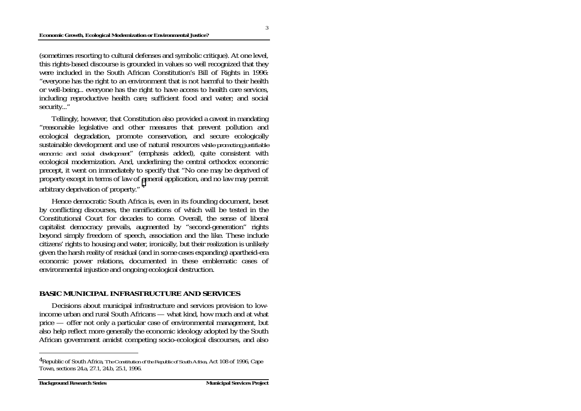#### **Economic Growth, Ecological Modernization or Environmental Justice?**

(sometimes resorting to cultural defenses and symbolic critique). At one level, this rights-based discourse is grounded in values so well recognized that they were included in the South African Constitution's Bill of Rights in 1996: "everyone has the right to an environment that is not harmful to their health or well-being... everyone has the right to have access to health care services, including reproductive health care; sufficient food and water; and social security..."

Tellingly, however, that Constitution also provided a caveat in mandating "reasonable legislative and other measures that prevent pollution and ecological degradation, promote conservation, and secure ecologically sustainable development and use of natural resources *while promoting justifiable economic and social development*" (emphasis added), quite consistent with ecological modernization. And, underlining the central orthodox economic precept, it went on immediately to specify that "No one may be deprived of property except in terms of law of general application, and no law may permit arbitrary deprivation of property." <sup>4</sup>

Hence democratic South Africa is, even in its founding document, beset by conflicting discourses, the ramifications of which will be tested in the Constitutional Court for decades to come. Overall, the sense of liberal capitalist democracy prevails, augmented by "second-generation" rights beyond simply freedom of speech, association and the like. These include citizens' rights to housing and water, ironically, but their realization is unlikely given the harsh reality of residual (and in some cases expanding) apartheid-era economic power relations, documented in these emblematic cases of environmental injustice and ongoing ecological destruction.

### **BASIC MUNICIPAL INFRASTRUCTURE AND SERVICES**

Decisions about municipal infrastructure and services provision to lowincome urban and rural South Africans — what kind, how much and at what price — offer not only a particular case of environmental management, but also help reflect more generally the economic ideology adopted by the South African government amidst competing socio-ecological discourses, and also

3

<sup>4</sup>Republic of South Africa, *The Constitution of the Republic of South Africa*, Act 108 of 1996, Cape Town, sections 24.a, 27.1, 24.b, 25.1, 1996.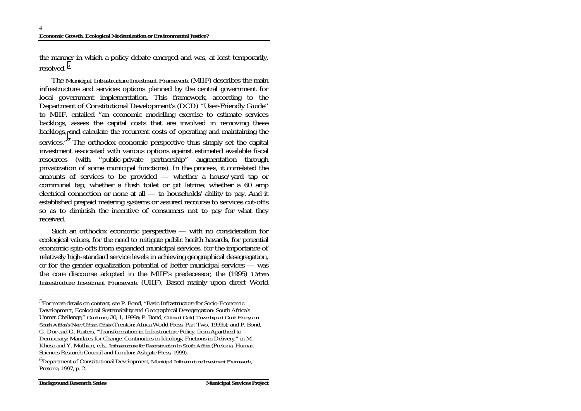the manner in which a policy debate emerged and was, at least temporarily, resolved. <sup>5</sup>

The *Municipal Infrastructure Investment Framework* (MIIF) describes the main infrastructure and services options planned by the central government for local government implementation. This framework, according to the Department of Constitutional Development's (DCD) "User-Friendly Guide" to MIIF, entailed "an economic modelling exercise to estimate services backlogs, assess the capital costs that are involved in removing these backlogs, and calculate the recurrent costs of operating and maintaining the services."<sup>6</sup> The orthodox economic perspective thus simply set the capital investment associated with various options against estimated available fiscal resources (with "public-private partnership" augmentation through privatization of some municipal functions). In the process, it correlated the amounts of services to be provided — whether a house/yard tap or communal tap; whether a flush toilet or pit latrine; whether a 60 amp electrical connection or none at all — to households' ability to pay. And it established prepaid metering systems or assured recourse to services cut-offs so as to diminish the incentive of consumers not to pay for what they received.

Such an orthodox economic perspective — with no consideration for ecological values, for the need to mitigate public health hazards, for potential economic spin-offs from expanded municipal services, for the importance of relatively high-standard service levels in achieving geographical desegregation, or for the gender equalization potential of better municipal services — was the core discourse adopted in the MIIF's predecessor, the (1995) *Urban Infrastructure Investment Framework* (UIIF). Based mainly upon direct World

<sup>5</sup>For more details on content, see P. Bond, "Basic Infrastructure for Socio-Economic Development, Ecological Sustainability and Geographical Desegregation: South Africa's Unmet Challenge," *Geoforum*, 30, 1, 1999a; P. Bond, *Cities of Gold, Townships of Coal: Essays on South Africa's New Urban Crisis* (Trenton: Africa World Press, Part Two, 1999b); and P. Bond, G. Dor and G. Ruiters, "Transformation in Infrastructure Policy, from Apartheid to Democracy: Mandates for Change, Continuities in Ideology, Frictions in Delivery," in M. Khosa and Y. Muthien, eds., *Infrastructure for Reconstruction in South Africa* (Pretoria, Human Sciences Research Council and London: Ashgate Press, 1999).

<sup>6</sup>Department of Constitutional Development, *Municipal Infrastructure Investment Framework*, Pretoria, 1997, p. 2.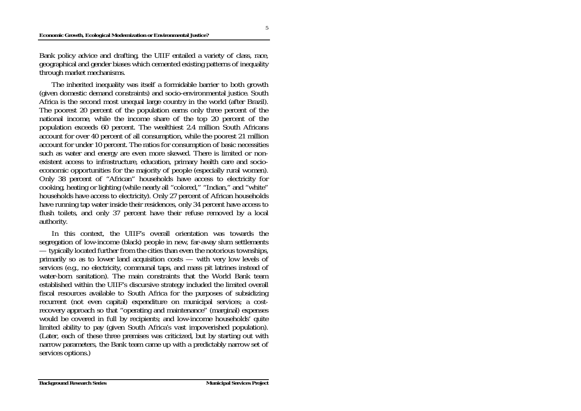#### **Economic Growth, Ecological Modernization or Environmental Justice?**

Bank policy advice and drafting, the UIIF entailed a variety of class, race, geographical and gender biases which cemented existing patterns of inequality through market mechanisms.

The inherited inequality was itself a formidable barrier to both growth (given domestic demand constraints) and socio-environmental justice. South Africa is the second most unequal large country in the world (after Brazil). The poorest 20 percent of the population earns only three percent of the national income, while the income share of the top 20 percent of the population exceeds 60 percent. The wealthiest 2.4 million South Africans account for over 40 percent of all consumption, while the poorest 21 million account for under 10 percent. The ratios for consumption of basic necessities such as water and energy are even more skewed. There is limited or nonexistent access to infrastructure, education, primary health care and socioeconomic opportunities for the majority of people (especially rural women). Only 38 percent of "African" households have access to electricity for cooking, heating or lighting (while nearly all "colored," "Indian," and "white" households have access to electricity). Only 27 percent of African households have running tap water inside their residences, only 34 percent have access to flush toilets, and only 37 percent have their refuse removed by a local authority.

In this context, the UIIF's overall orientation was towards the segregation of low-income (black) people in new, far-away slum settlements — typically located further from the cities than even the notorious townships, primarily so as to lower land acquisition costs — with very low levels of services (e.g., no electricity, communal taps, and mass pit latrines instead of water-born sanitation). The main constraints that the World Bank team established within the UIIF's discursive strategy included the limited overall fiscal resources available to South Africa for the purposes of subsidizing recurrent (not even capital) expenditure on municipal services; a costrecovery approach so that "operating and maintenance" (marginal) expenses would be covered in full by recipients; and low-income households<sup>3</sup> quite limited ability to pay (given South Africa's vast impoverished population). (Later, each of these three premises was criticized, but by starting out with narrow parameters, the Bank team came up with a predictably narrow set of services options.)

5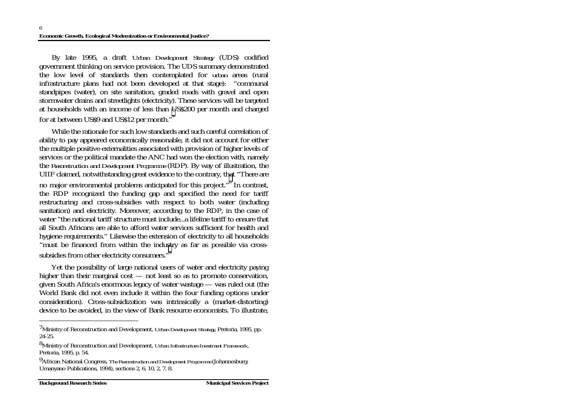By late 1995, a draft *Urban Development Strategy* (UDS) codified government thinking on service provision. The UDS summary demonstrated the low level of standards then contemplated for *urban* areas (rural infrastructure plans had not been developed at that stage): "communal standpipes (water), on site sanitation, graded roads with gravel and open stormwater drains and streetlights (electricity). These services will be targeted at households with an income of less than US\$200 per month and charged for at between US\$9 and US\$12 per month."<sup>7</sup>

While the rationale for such low standards and such careful correlation of ability to pay appeared economically reasonable, it did not account for either the multiple positive externalities associated with provision of higher levels of services or the political mandate the ANC had won the election with, namely the *Reconstruction and Development Programme* (RDP). By way of illustration, the UIIF claimed, notwithstanding great evidence to the contrary, that "There are no major environmental problems anticipated for this project."8 In contrast, the RDP recognized the funding gap and specified the need for tariff restructuring and cross-subsidies with respect to both water (including sanitation) and electricity. Moreover, according to the RDP, in the case of water "the national tariff structure must include...a lifeline tariff to ensure that all South Africans are able to afford water services sufficient for health and hygiene requirements." Likewise the extension of electricity to all households "must be financed from within the industry as far as possible via crosssubsidies from other electricity consumers."<sup>9</sup>

Yet the possibility of large national users of water and electricity paying higher than their marginal cost — not least so as to promote conservation, given South Africa's enormous legacy of water wastage — was ruled out (the World Bank did not even include it within the four funding options under consideration). Cross-subsidization was intrinsically a (market-distorting) device to be avoided, in the view of Bank resource economists. To illustrate,

<sup>7</sup>Ministry of Reconstruction and Development, *Urban Development Strategy*, Pretoria, 1995, pp. 24-25.

<sup>8</sup>Ministry of Reconstruction and Development, *Urban Infrastructure Investment Framework*, Pretoria, 1995, p. 54.

<sup>9</sup>African National Congress, *The Reconstruction and Development Programme* (Johannesburg: Umanyano Publications, 1994), sections 2, 6, 10, 2, 7, 8.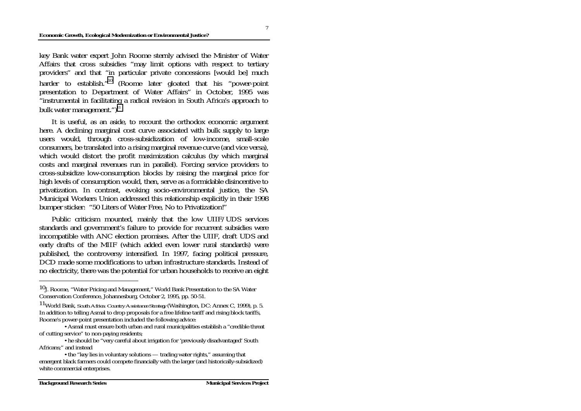key Bank water expert John Roome sternly advised the Minister of Water Affairs that cross subsidies "may limit options with respect to tertiary providers" and that "in particular private concessions [would be] much harder to establish."<sup>10</sup> (Roome later gloated that his "power-point presentation to Department of Water Affairs" in October, 1995 was "instrumental in facilitating a radical revision in South Africa's approach to bulk water management.") $<sup>11</sup>$ </sup>

It is useful, as an aside, to recount the orthodox economic argument here. A declining marginal cost curve associated with bulk supply to large users would, through cross-subsidization of low-income, small-scale consumers, be translated into a rising marginal revenue curve (and vice versa), which would distort the profit maximization calculus (by which marginal costs and marginal revenues run in parallel). Forcing service providers to cross-subsidize low-consumption blocks by raising the marginal price for high levels of consumption would, then, serve as a formidable disincentive to privatization. In contrast, evoking socio-environmental justice, the SA Municipal Workers Union addressed this relationship explicitly in their 1998 bumper sticker: "50 Liters of Water Free, No to Privatization!"

Public criticism mounted, mainly that the low UIIF/UDS services standards and government's failure to provide for recurrent subsidies were incompatible with ANC election promises. After the UIIF, draft UDS and early drafts of the MIIF (which added even lower rural standards) were published, the controversy intensified. In 1997, facing political pressure, DCD made some modifications to urban infrastructure standards. Instead of no electricity, there was the potential for urban households to receive an eight

 • Asmal must ensure both urban and rural municipalities establish a "credible threat of cutting service" to non-paying residents;

 • he should be "very careful about irrigation for 'previously disadvantaged' South Africans;" and instead

 • the "key lies in voluntary solutions — trading water rights," assuming that emergent black farmers could compete financially with the larger (and historically-subsidized) white commercial enterprises.

7

<sup>10</sup>J. Roome, "Water Pricing and Management," World Bank Presentation to the SA Water Conservation Conference, Johannesburg, October 2, 1995, pp. 50-51.

<sup>11</sup>World Bank, *South Africa: Country Assistance Strategy* (Washington, DC: Annex C, 1999), p. 5. In addition to telling Asmal to drop proposals for a free lifeline tariff and rising block tariffs, Roome's power-point presentation included the following advice: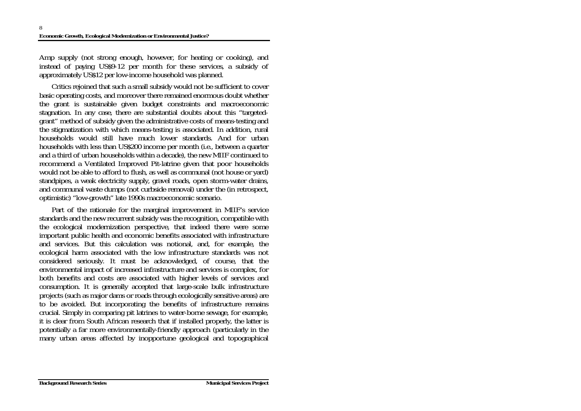Amp supply (not strong enough, however, for heating or cooking), and instead of paying US\$9-12 per month for these services, a subsidy of approximately US\$12 per low-income household was planned.

Critics rejoined that such a small subsidy would not be sufficient to cover basic operating costs, and moreover there remained enormous doubt whether the grant is sustainable given budget constraints and macroeconomic stagnation. In any case, there are substantial doubts about this "targetedgrant" method of subsidy given the administrative costs of means-testing and the stigmatization with which means-testing is associated. In addition, rural households would still have much lower standards. And for urban households with less than US\$200 income per month (i.e., between a quarter and a third of urban households within a decade), the new MIIF continued to recommend a Ventilated Improved Pit-latrine given that poor households would not be able to afford to flush, as well as communal (not house or yard) standpipes, a weak electricity supply, gravel roads, open storm-water drains, and communal waste dumps (not curbside removal) under the (in retrospect, optimistic) "low-growth" late 1990s macroeconomic scenario.

Part of the rationale for the marginal improvement in MIIF's service standards and the new recurrent subsidy was the recognition, compatible with the ecological modernization perspective, that indeed there were some important public health and economic benefits associated with infrastructure and services. But this calculation was notional, and, for example, the ecological harm associated with the low infrastructure standards was not considered seriously. It must be acknowledged, of course, that the environmental impact of increased infrastructure and services is complex, for both benefits and costs are associated with higher levels of services and consumption. It is generally accepted that large-scale bulk infrastructure projects (such as major dams or roads through ecologically sensitive areas) are to be avoided. But incorporating the benefits of infrastructure remains crucial. Simply in comparing pit latrines to water-borne sewage, for example, it is clear from South African research that if installed properly, the latter is potentially a far more environmentally-friendly approach (particularly in the many urban areas affected by inopportune geological and topographical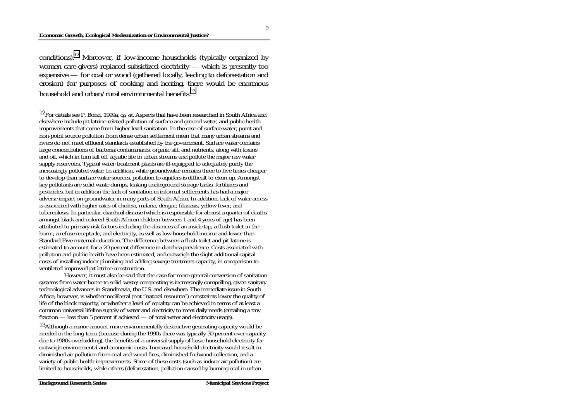conditions).<sup>12</sup> Moreover, if low-income households (typically organized by women care-givers) replaced subsidized electricity — which is presently too expensive — for coal or wood (gathered locally, leading to deforestation and erosion) for purposes of cooking and heating, there would be enormous household and urban/rural environmental benefits.<sup>13</sup>

 However, it must also be said that the case for more general conversion of sanitation systems from water-borne to solid-waste/composting is increasingly compelling, given sanitary technological advances in Scandinavia, the U.S. and elsewhere. The immediate issue in South Africa, however, is whether neoliberal (not "natural resource") constraints lower the quality of life of the black majority, or whether a level of equality can be achieved in terms of at least a common universal lifeline supply of water and electricity to meet daily needs (entailing a tiny fraction — less than 5 percent if achieved — of total water and electricity usage).

13Although a minor amount more environmentally-destructive generating capacity would be needed in the long-term (because during the 1990s there was typically 30 percent over capacity due to 1980s overbidding), the benefits of a universal supply of basic household electricity far outweigh environmental and economic costs. Increased household electricity would result in diminished air pollution from coal and wood fires, diminished fuelwood collection, and a variety of public health improvements. Some of these costs (such as indoor air pollution) are limited to households, while others (deforestation, pollution caused by burning coal in urban

9

<sup>12</sup>For details see P. Bond, 1999a, *op. cit*. Aspects that have been researched in South Africa and elsewhere include pit latrine-related pollution of surface and ground water, and public health improvements that come from higher-level sanitation. In the case of surface water, point and non-point source pollution from dense urban settlement mean that many urban streams and rivers do not meet effluent standards established by the government. Surface water contains large concentrations of bacterial contaminants, organic silt, and nutrients, along with toxins and oil, which in turn kill off aquatic life in urban streams and pollute the major raw water supply reservoirs. Typical water-treatment plants are ill-equipped to adequately purify the increasingly polluted water. In addition, while groundwater remains three to five times cheaper to develop than surface water sources, pollution to aquifers is difficult to clean up. Amongst key pollutants are solid waste dumps, leaking underground storage tanks, fertilizers and pesticides, but in addition the lack of sanitation in informal settlements has had a major adverse impact on groundwater in many parts of South Africa. In addition, lack of water access is associated with higher rates of cholera, malaria, dengue, filariasis, yellow fever, and tuberculosis. In particular, diarrheal disease (which is responsible for almost a quarter of deaths amongst black and colored South African children between 1 and 4 years of age) has been attributed to primary risk factors including the absences of an inside tap, a flush toilet in the home, a refuse receptacle, and electricity, as well as low household income and lower than Standard Five maternal education. The difference between a flush toilet and pit latrine is estimated to account for a 20 percent difference in diarrhea prevalence. Costs associated with pollution and public health have been estimated, and outweigh the slight additional capital costs of installing indoor plumbing and adding sewage treatment capacity, in comparison to ventilated-improved pit latrine construction.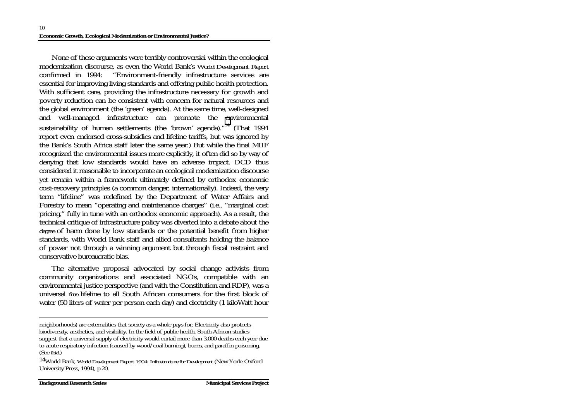None of these arguments were terribly controversial within the ecological modernization discourse, as even the World Bank's *World Development Report* confirmed in 1994: "Environment-friendly infrastructure services are essential for improving living standards and offering public health protection. With sufficient care, providing the infrastructure necessary for growth and poverty reduction can be consistent with concern for natural resources and the global environment (the 'green' agenda). At the same time, well-designed and well-managed infrastructure can promote the environmental sustainability of human settlements (the 'brown' agenda)."<sup>14</sup> (That 1994 report even endorsed cross-subsidies and lifeline tariffs, but was ignored by the Bank's South Africa staff later the same year.) But while the final MIIF recognized the environmental issues more explicitly, it often did so by way of denying that low standards would have an adverse impact. DCD thus considered it reasonable to incorporate an ecological modernization discourse yet remain within a framework ultimately defined by orthodox economic cost-recovery principles (a common danger, internationally). Indeed, the very term "lifeline" was redefined by the Department of Water Affairs and Forestry to mean "operating and maintenance charges" (i.e., "marginal cost pricing," fully in tune with an orthodox economic approach). As a result, the technical critique of infrastructure policy was diverted into a debate about the *degree* of harm done by low standards or the potential benefit from higher standards, with World Bank staff and allied consultants holding the balance of power not through a winning argument but through fiscal restraint and conservative bureaucratic bias.

The alternative proposal advocated by social change activists from community organizations and associated NGOs, compatible with an environmental justice perspective (and with the Constitution and RDP), was a universal *free* lifeline to all South African consumers for the first block of water (50 liters of water per person each day) and electricity (1 kiloWatt hour

neighborhoods) are externalities that society as a whole pays for. Electricity also protects biodiversity, aesthetics, and visibility. In the field of public health, South African studies suggest that a universal supply of electricity would curtail more than 3,000 deaths each year due to acute respiratory infection (caused by wood/coal burning), burns, and paraffin poisoning. (See *ibid*.)

<sup>14</sup>World Bank, *World Development Report 1994: Infrastructure for Development* (New York: Oxford University Press, 1994), p.20.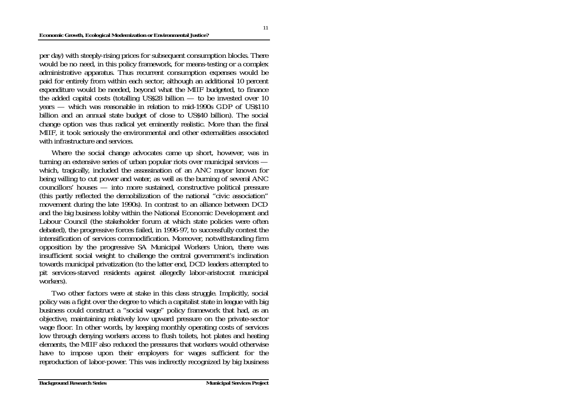per day) with steeply-rising prices for subsequent consumption blocks. There would be no need, in this policy framework, for means-testing or a complex administrative apparatus. Thus recurrent consumption expenses would be paid for entirely from within each sector, although an additional 10 percent expenditure would be needed, beyond what the MIIF budgeted, to finance the added capital costs (totalling US\$28 billion — to be invested over 10 years — which was reasonable in relation to mid-1990s GDP of US\$110 billion and an annual state budget of close to US\$40 billion). The social change option was thus radical yet eminently realistic. More than the final MIIF, it took seriously the environmental and other externalities associated with infrastructure and services.

Where the social change advocates came up short, however, was in turning an extensive series of urban popular riots over municipal services which, tragically, included the assassination of an ANC mayor known for being willing to cut power and water, as well as the burning of several ANC councillors' houses — into more sustained, constructive political pressure (this partly reflected the demobilization of the national "civic association" movement during the late 1990s). In contrast to an alliance between DCD and the big business lobby within the National Economic Development and Labour Council (the stakeholder forum at which state policies were often debated), the progressive forces failed, in 1996-97, to successfully contest the intensification of services commodification. Moreover, notwithstanding firm opposition by the progressive SA Municipal Workers Union, there was insufficient social weight to challenge the central government's inclination towards municipal privatization (to the latter end, DCD leaders attempted to pit services-starved residents against allegedly labor-aristocrat municipal workers).

Two other factors were at stake in this class struggle. Implicitly, social policy was a fight over the degree to which a capitalist state in league with big business could construct a "social wage" policy framework that had, as an objective, maintaining relatively low upward pressure on the private-sector wage floor. In other words, by keeping monthly operating costs of services low through denying workers access to flush toilets, hot plates and heating elements, the MIIF also reduced the pressures that workers would otherwise have to impose upon their employers for wages sufficient for the reproduction of labor-power. This was indirectly recognized by big business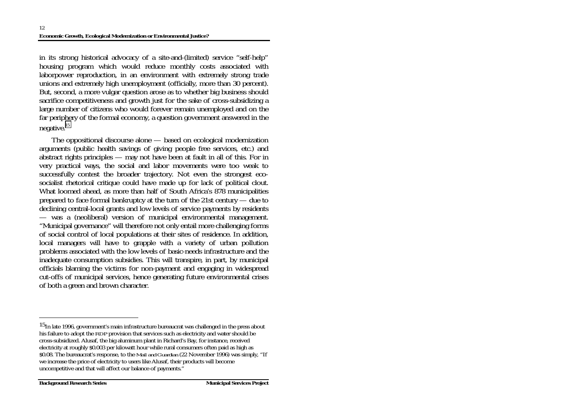in its strong historical advocacy of a site-and-(limited) service "self-help" housing program which would reduce monthly costs associated with laborpower reproduction, in an environment with extremely strong trade unions and extremely high unemployment (officially, more than 30 percent). But, second, a more vulgar question arose as to whether big business should sacrifice competitiveness and growth just for the sake of cross-subsidizing a large number of citizens who would forever remain unemployed and on the far periphery of the formal economy, a question government answered in the negative.<sup>15</sup>

The oppositional discourse alone — based on ecological modernization arguments (public health savings of giving people free services, etc.) and abstract rights principles — may not have been at fault in all of this. For in very practical ways, the social and labor movements were too weak to successfully contest the broader trajectory. Not even the strongest ecosocialist rhetorical critique could have made up for lack of political clout. What loomed ahead, as more than half of South Africa's 878 municipalities prepared to face formal bankruptcy at the turn of the 21st century — due to declining central-local grants and low levels of service payments by residents — was a (neoliberal) version of municipal environmental management. "Municipal governance" will therefore not only entail more challenging forms of social control of local populations at their sites of residence. In addition, local managers will have to grapple with a variety of urban pollution problems associated with the low levels of basic-needs infrastructure and the inadequate consumption subsidies. This will transpire, in part, by municipal officials blaming the victims for non-payment and engaging in widespread cut-offs of municipal services, hence generating future environmental crises of both a green and brown character.

 $15$ In late 1996, government's main infrastructure bureaucrat was challenged in the press about his failure to adopt the *RDP* provision that services such as electricity and water should be cross-subsidized. Alusaf, the big aluminum plant in Richard's Bay, for instance, received electricity at roughly \$0.003 per kilowatt hour while rural consumers often paid as high as \$0.08. The bureaucrat's response, to the *Mail and Guardian* (22 November 1996) was simply, "If we increase the price of electricity to users like Alusaf, their products will become uncompetitive and that will affect our balance of payments."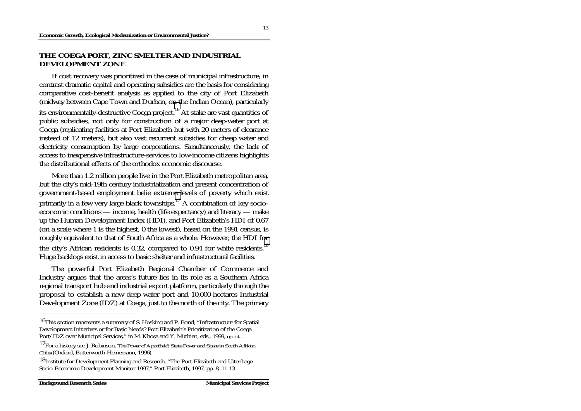#### **Economic Growth, Ecological Modernization or Environmental Justice?**

### **THE COEGA PORT, ZINC SMELTER AND INDUSTRIAL DEVELOPMENT ZONE**

If cost recovery was prioritized in the case of municipal infrastructure, in contrast dramatic capital and operating subsidies are the basis for considering comparative cost-benefit analysis as applied to the city of Port Elizabeth (midway between Cape Town and Durban, on the Indian Ocean), particularly its environmentally-destructive Coega project.<sup>16</sup> At stake are vast quantities of public subsidies, not only for construction of a major deep-water port at Coega (replicating facilities at Port Elizabeth but with 20 meters of clearance instead of 12 meters), but also vast recurrent subsidies for cheap water and electricity consumption by large corporations. Simultaneously, the lack of access to inexpensive infrastructure-services to low-income citizens highlights the distributional effects of the orthodox economic discourse.

More than 1.2 million people live in the Port Elizabeth metropolitan area, but the city's mid-19th century industrialization and present concentration of government-based employment belie extreme levels of poverty which exist primarily in a few very large black townships.<sup>17</sup> A combination of key socioeconomic conditions — income, health (life expectancy) and literacy — make up the Human Development Index (HDI), and Port Elizabeth's HDI of 0.67 (on a scale where 1 is the highest, 0 the lowest), based on the 1991 census, is roughly equivalent to that of South Africa as a whole. However, the HDI for the city's African residents is 0.32, compared to 0.94 for white residents.<sup>18</sup> Huge backlogs exist in access to basic shelter and infrastructural facilities.

The powerful Port Elizabeth Regional Chamber of Commerce and Industry argues that the areas's future lies in its role as a Southern Africa regional transport hub and industrial export platform, particularly through the proposal to establish a new deep-water port and 10,000-hectares Industrial Development Zone (IDZ) at Coega, just to the north of the city. The primary

13

<sup>16</sup>This section represents a summary of S. Hosking and P. Bond, "Infrastructure for Spatial Development Initiatives or for Basic Needs? Port Elizabeth's Prioritization of the Coega Port/IDZ over Municipal Services," in M. Khosa and Y. Muthien, eds., 1999, *op. cit*..

<sup>17</sup>For a history see J. Robinson, *The Power of Apartheid: State Power and Space in South African Cities* (Oxford, Butterworth-Heinemann, 1996).

<sup>18</sup>Institute for Development Planning and Research, "The Port Elizabeth and Uitenhage Socio-Economic Development Monitor 1997," Port Elizabeth, 1997, pp. 8, 11-13.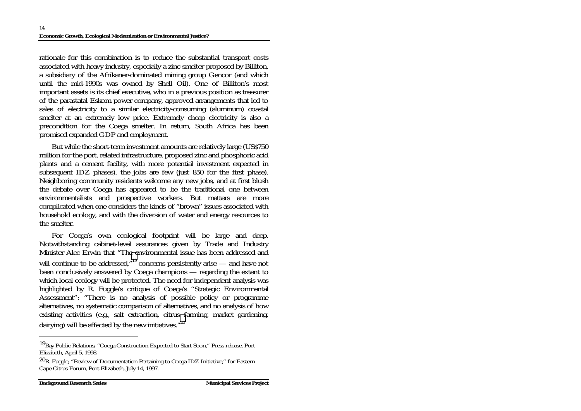rationale for this combination is to reduce the substantial transport costs associated with heavy industry, especially a zinc smelter proposed by Billiton, a subsidiary of the Afrikaner-dominated mining group Gencor (and which until the mid-1990s was owned by Shell Oil). One of Billiton's most important assets is its chief executive, who in a previous position as treasurer of the parastatal Eskom power company, approved arrangements that led to sales of electricity to a similar electricity-consuming (aluminum) coastal smelter at an extremely low price. Extremely cheap electricity is also a precondition for the Coega smelter. In return, South Africa has been promised expanded GDP and employment.

But while the short-term investment amounts are relatively large (US\$750 million for the port, related infrastructure, proposed zinc and phosphoric acid plants and a cement facility, with more potential investment expected in subsequent IDZ phases), the jobs are few (just 850 for the first phase). Neighboring community residents welcome any new jobs, and at first blush the debate over Coega has appeared to be the traditional one between environmentalists and prospective workers. But matters are more complicated when one considers the kinds of "brown" issues associated with household ecology, and with the diversion of water and energy resources to the smelter.

For Coega's own ecological footprint will be large and deep. Notwithstanding cabinet-level assurances given by Trade and Industry Minister Alec Erwin that "The environmental issue has been addressed and will continue to be addressed,"<sup>19</sup> concerns persistently arise — and have not been conclusively answered by Coega champions — regarding the extent to which local ecology will be protected. The need for independent analysis was highlighted by R. Fuggle's critique of Coega's "Strategic Environmental Assessment": "There is no analysis of possible policy or programme alternatives, no systematic comparison of alternatives, and no analysis of how existing activities (e.g., salt extraction, citrus farming, market gardening, dairying) will be affected by the new initiatives."<sup>20</sup>

<sup>19</sup>Bay Public Relations, "Coega Construction Expected to Start Soon," Press release, Port Elizabeth, April 5, 1998.

 $20R$ . Fuggle, "Review of Documentation Pertaining to Coega IDZ Initiative," for Eastern Cape Citrus Forum, Port Elizabeth, July 14, 1997.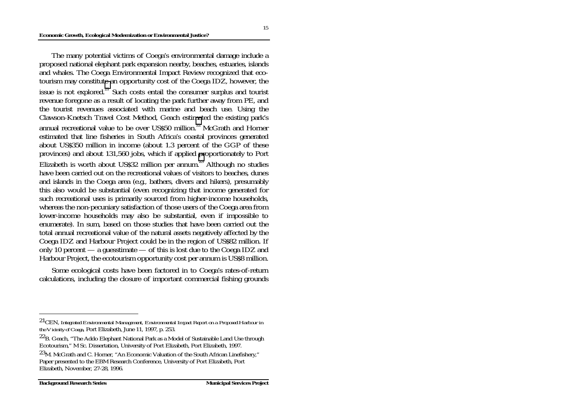The many potential victims of Coega's environmental damage include a proposed national elephant park expansion nearby, beaches, estuaries, islands and whales. The Coega Environmental Impact Review recognized that ecotourism may constitute an opportunity cost of the Coega IDZ, however, the issue is not explored.<sup>21</sup> Such costs entail the consumer surplus and tourist revenue foregone as a result of locating the park further away from PE, and the tourist revenues associated with marine and beach use. Using the Clawson-Knetsch Travel Cost Method, Geach estimated the existing park's annual recreational value to be over US\$50 million.<sup>22</sup> McGrath and Horner estimated that line fisheries in South Africa's coastal provinces generated about US\$350 million in income (about 1.3 percent of the GGP of these provinces) and about 131,560 jobs, which if applied proportionately to Port Elizabeth is worth about US\$32 million per annum.<sup>23</sup> Although no studies have been carried out on the recreational values of visitors to beaches, dunes and islands in the Coega area (e.g., bathers, divers and hikers), presumably this also would be substantial (even recognizing that income generated for such recreational uses is primarily sourced from higher-income households, whereas the non-pecuniary satisfaction of those users of the Coega area from lower-income households may also be substantial, even if impossible to enumerate). In sum, based on those studies that have been carried out the total annual recreational value of the natural assets negatively affected by the Coega IDZ and Harbour Project could be in the region of US\$82 million. If only 10 percent — a guesstimate — of this is lost due to the Coega IDZ and Harbour Project, the ecotourism opportunity cost per annum is US\$8 million.

Some ecological costs have been factored in to Coega's rates-of-return calculations, including the closure of important commercial fishing grounds

<sup>21</sup>CEN, *Integrated Environmental Management, Environmental Impact Report on a Proposed Harbour in the Vicinity of Coega*, Port Elizabeth, June 11, 1997, p. 253.

<sup>&</sup>lt;sup>22</sup>B. Geach, "The Addo Elephant National Park as a Model of Sustainable Land Use through Ecotourism," M Sc. Dissertation, University of Port Elizabeth, Port Elizabeth, 1997.

<sup>23</sup>M. McGrath and C. Horner, "An Economic Valuation of the South African Linefishery," Paper presented to the EBM Research Conference, University of Port Elizabeth, Port Elizabeth, November, 27-28, 1996.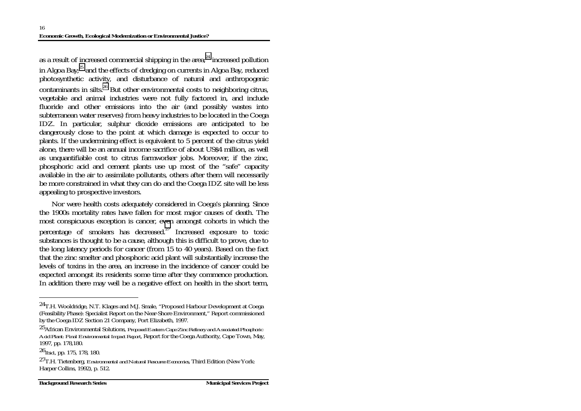as a result of increased commercial shipping in the area; $^{24}$  increased pollution in Algoa Bay;<sup>25</sup> and the effects of dredging on currents in Algoa Bay, reduced photosynthetic activity, and disturbance of natural and anthropogenic contaminants in silts.26 But other environmental costs to neighboring citrus, vegetable and animal industries were not fully factored in, and include fluoride and other emissions into the air (and possibly wastes into subterranean water reserves) from heavy industries to be located in the Coega IDZ. In particular, sulphur dioxide emissions are anticipated to be dangerously close to the point at which damage is expected to occur to plants. If the undermining effect is equivalent to 5 percent of the citrus yield alone, there will be an annual income sacrifice of about US\$4 million, as well as unquantifiable cost to citrus farmworker jobs. Moreover, if the zinc, phosphoric acid and cement plants use up most of the "safe" capacity available in the air to assimilate pollutants, others after them will necessarily be more constrained in what they can do and the Coega IDZ site will be less appealing to prospective investors.

Nor were health costs adequately considered in Coega's planning. Since the 1900s mortality rates have fallen for most major causes of death. The most conspicuous exception is cancer, even amongst cohorts in which the percentage of smokers has decreased.<sup>27</sup> Increased exposure to toxic substances is thought to be a cause, although this is difficult to prove, due to the long latency periods for cancer (from 15 to 40 years). Based on the fact that the zinc smelter and phosphoric acid plant will substantially increase the levels of toxins in the area, an increase in the incidence of cancer could be expected amongst its residents some time after they commence production. In addition there may well be a negative effect on health in the short term,

<sup>24</sup>T.H. Wooldridge, N.T. Klages and M.J. Smale, "Proposed Harbour Development at Coega (Feasibility Phase): Specialist Report on the Near-Shore Environment," Report commissioned by the Coega IDZ Section 21 Company, Port Elizabeth, 1997.

<sup>25</sup>African Environmental Solutions, *Proposed Eastern Cape Zinc Refinery and Associated Phosphoric Acid Plant: Final Environmental Impact Report*, Report for the Coega Authority, Cape Town, May, 1997, pp. 178,180.

<sup>26</sup>*Ibid.*, pp. 175, 178, 180.

<sup>27</sup>T.H. Tietenberg, *Environmental and Natural Resource Economics*, Third Edition (New York: Harper Collins, 1992), p. 512.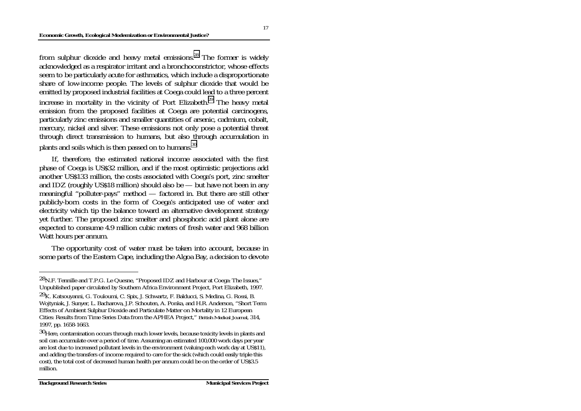from sulphur dioxide and heavy metal emissions.<sup>28</sup> The former is widely acknowledged as a respirator irritant and a bronchoconstrictor, whose effects seem to be particularly acute for asthmatics, which include a disproportionate share of low-income people. The levels of sulphur dioxide that would be emitted by proposed industrial facilities at Coega could lead to a three percent increase in mortality in the vicinity of Port Elizabeth.<sup>29</sup> The heavy metal emission from the proposed facilities at Coega are potential carcinogens, particularly zinc emissions and smaller quantities of arsenic, cadmium, cobalt, mercury, nickel and silver. These emissions not only pose a potential threat through direct transmission to humans, but also through accumulation in plants and soils which is then passed on to humans.<sup>30</sup>

If, therefore, the estimated national income associated with the first phase of Coega is US\$32 million, and if the most optimistic projections add another US\$133 million, the costs associated with Coega's port, zinc smelter and IDZ (roughly US\$18 million) should also be — but have not been in any meaningful "polluter-pays" method — factored in. But there are still other publicly-born costs in the form of Coega's anticipated use of water and electricity which tip the balance toward an alternative development strategy yet further. The proposed zinc smelter and phosphoric acid plant alone are expected to consume 4.9 million cubic meters of fresh water and 968 billion Watt hours per annum.

The opportunity cost of water must be taken into account, because in some parts of the Eastern Cape, including the Algoa Bay, a decision to devote

 $28$ N.F. Tennille and T.P.G. Le Quesne, "Proposed IDZ and Harbour at Coega: The Issues," Unpublished paper circulated by Southern Africa Environment Project, Port Elizabeth, 1997.

<sup>29</sup>K. Katsouyanni, G. Touloumi, C. Spix, J. Schwartz, F. Balducci, S. Medina, G. Rossi, B. Wojtyniak, J. Sunyer, L. Bacharova, J.P. Schouten, A. Ponka, and H.R. Anderson, "Short Term Effects of Ambient Sulphur Dioxide and Particulate Matter on Mortality in 12 European Cities: Results from Time Series Data from the APHEA Project," *British Medical Journal*, 314, 1997, pp. 1658-1663.

<sup>30</sup>Here, contamination occurs through much lower levels, because toxicity levels in plants and soil can accumulate over a period of time. Assuming an estimated 100,000 work days per year are lost due to increased pollutant levels in the environment (valuing each work day at US\$11), and adding the transfers of income required to care for the sick (which could easily triple this cost), the total cost of decreased human health per annum could be on the order of US\$3.5 million.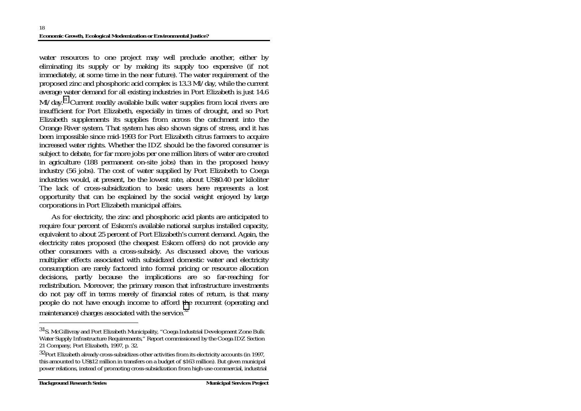water resources to one project may well preclude another, either by eliminating its supply or by making its supply too expensive (if not immediately, at some time in the near future). The water requirement of the proposed zinc and phosphoric acid complex is 13.3 Ml/day, while the current average water demand for all existing industries in Port Elizabeth is just 14.6

 $M/day$ <sup>31</sup> Current readily available bulk water supplies from local rivers are insufficient for Port Elizabeth, especially in times of drought, and so Port Elizabeth supplements its supplies from across the catchment into the Orange River system. That system has also shown signs of stress, and it has been impossible since mid-1993 for Port Elizabeth citrus farmers to acquire increased water rights. Whether the IDZ should be the favored consumer is subject to debate, for far more jobs per one million liters of water are created in agriculture (188 permanent on-site jobs) than in the proposed heavy industry (56 jobs). The cost of water supplied by Port Elizabeth to Coega industries would, at present, be the lowest rate, about US\$0.40 per kiloliter The lack of cross-subsidization to basic users here represents a lost opportunity that can be explained by the social weight enjoyed by large corporations in Port Elizabeth municipal affairs.

As for electricity, the zinc and phosphoric acid plants are anticipated to require four percent of Eskom's available national surplus installed capacity, equivalent to about 25 percent of Port Elizabeth's current demand. Again, the electricity rates proposed (the cheapest Eskom offers) do not provide any other consumers with a cross-subsidy. As discussed above, the various multiplier effects associated with subsidized domestic water and electricity consumption are rarely factored into formal pricing or resource allocation decisions, partly because the implications are so far-reaching for redistribution. Moreover, the primary reason that infrastructure investments do not pay off in terms merely of financial rates of return, is that many people do not have enough income to afford the recurrent (operating and maintenance) charges associated with the service.<sup>32</sup>

<sup>31</sup>S. McGillivray and Port Elizabeth Municipality, "Coega Industrial Development Zone Bulk Water Supply Infrastructure Requirements," Report commissioned by the Coega IDZ Section 21 Company, Port Elizabeth, 1997, p. 32.

<sup>32</sup>Port Elizabeth already cross-subsidizes other activities from its electricity accounts (in 1997, this amounted to US\$12 million in transfers on a budget of \$163 million). But given municipal power relations, instead of promoting cross-subsidization from high-use commercial, industrial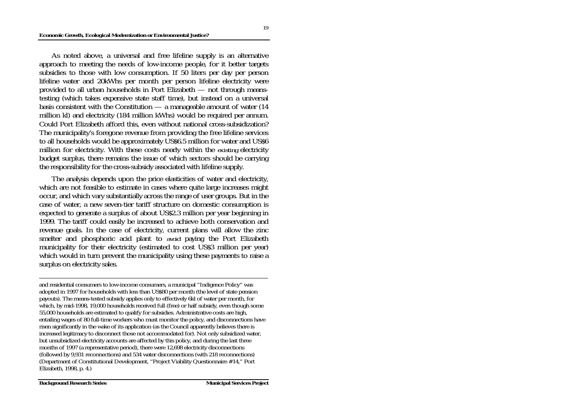As noted above, a universal and free lifeline supply is an alternative approach to meeting the needs of low-income people, for it better targets subsidies to those with low consumption. If 50 liters per day per person lifeline water and 20kWhs per month per person lifeline electricity were provided to all urban households in Port Elizabeth — not through meanstesting (which takes expensive state staff time), but instead on a universal basis consistent with the Constitution — a manageable amount of water (14 million kl) and electricity (184 million kWhs) would be required per annum. Could Port Elizabeth afford this, even without national cross-subsidization? The municipality's foregone revenue from providing the free lifeline services to all households would be approximately US\$6.5 million for water and US\$6 million for electricity. With these costs nearly within the *existing* electricity budget surplus, there remains the issue of which sectors should be carrying the responsibility for the cross-subsidy associated with lifeline supply.

The analysis depends upon the price elasticities of water and electricity, which are not feasible to estimate in cases where quite large increases might occur, and which vary substantially across the range of user groups. But in the case of water, a new seven-tier tariff structure on domestic consumption is expected to generate a surplus of about US\$2.3 million per year beginning in 1999. The tariff could easily be increased to achieve both conservation and revenue goals. In the case of electricity, current plans will allow the zinc smelter and phosphoric acid plant to *avoid* paying the Port Elizabeth municipality for their electricity (estimated to cost US\$3 million per year) which would in turn prevent the municipality using these payments to raise a surplus on electricity sales.

and residential consumers to low-income consumers, a municipal "Indigence Policy" was adopted in 1997 for households with less than US\$80 per month (the level of state pension payouts). The means-tested subsidy applies only to effectively 6kl of water per month, for which, by mid-1998, 19,000 households received full (free) or half subsidy, even though some 55,000 households are estimated to qualify for subsidies. Administrative costs are high, entailing wages of 80 full-time workers who must monitor the policy, and disconnections have risen significantly in the wake of its application (as the Council apparently believes there is increased legitimacy to disconnect those not accommodated for). Not only subsidized water, but unsubsidized electricity accounts are affected by this policy, and during the last three months of 1997 (a representative period), there were 12,698 electricity disconnections (followed by 9,931 reconnections) and 534 water disconnections (with 218 reconnections) (Department of Constitutional Development, "Project Viability Questionnaire #14," Port Elizabeth, 1998, p. 4.)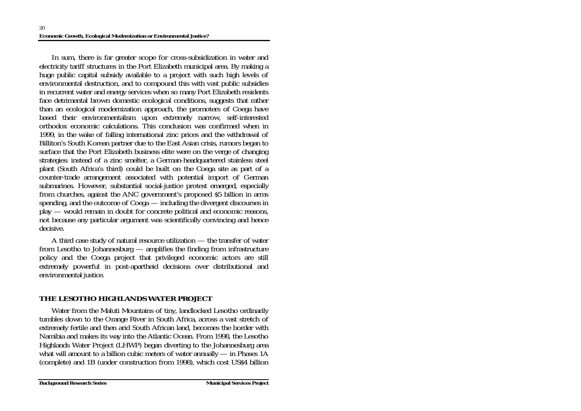In sum, there is far greater scope for cross-subsidization in water and electricity tariff structures in the Port Elizabeth municipal area. By making a huge public capital subsidy available to a project with such high levels of environmental destruction, and to compound this with vast public subsidies in recurrent water and energy services when so many Port Elizabeth residents face detrimental brown domestic ecological conditions, suggests that rather than an ecological modernization approach, the promoters of Coega have based their environmentalism upon extremely narrow, self-interested orthodox economic calculations. This conclusion was confirmed when in 1999, in the wake of falling international zinc prices and the withdrawal of Billiton's South Korean partner due to the East Asian crisis, rumors began to surface that the Port Elizabeth business elite were on the verge of changing strategies: instead of a zinc smelter, a German-headquartered stainless steel plant (South Africa's third) could be built on the Coega site as part of a counter-trade arrangement associated with potential import of German submarines. However, substantial social-justice protest emerged, especially from churches, against the ANC government's proposed \$5 billion in arms spending, and the outcome of Coega — including the divergent discourses in play — would remain in doubt for concrete political and economic reasons, not because any particular argument was scientifically convincing and hence decisive.

A third case study of natural resource utilization — the transfer of water from Lesotho to Johannesburg — amplifies the finding from infrastructure policy and the Coega project that privileged economic actors are still extremely powerful in post-apartheid decisions over distributional and environmental justice.

## **THE LESOTHO HIGHLANDS WATER PROJECT**

Water from the Maluti Mountains of tiny, landlocked Lesotho ordinarily tumbles down to the Orange River in South Africa, across a vast stretch of extremely fertile and then arid South African land, becomes the border with Namibia and makes its way into the Atlantic Ocean. From 1998, the Lesotho Highlands Water Project (LHWP) began diverting to the Johannesburg area what will amount to a billion cubic meters of water annually — in Phases 1A (complete) and 1B (under construction from 1998), which cost US\$4 billion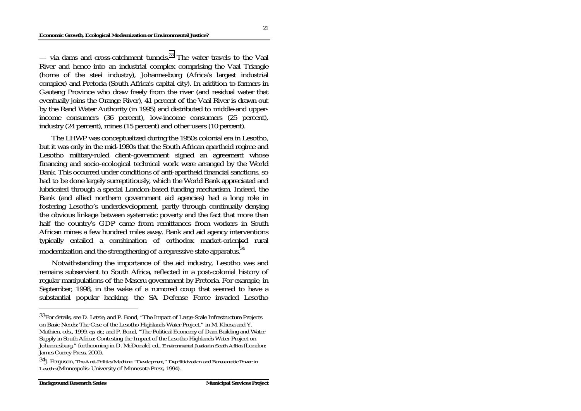— via dams and cross-catchment tunnels.<sup>33</sup> The water travels to the Vaal River and hence into an industrial complex comprising the Vaal Triangle (home of the steel industry), Johannesburg (Africa's largest industrial complex) and Pretoria (South Africa's capital city). In addition to farmers in Gauteng Province who draw freely from the river (and residual water that eventually joins the Orange River), 41 percent of the Vaal River is drawn out by the Rand Water Authority (in 1995) and distributed to middle-and upperincome consumers (36 percent), low-income consumers (25 percent), industry (24 percent), mines (15 percent) and other users (10 percent).

The LHWP was conceptualized during the 1950s colonial era in Lesotho, but it was only in the mid-1980s that the South African apartheid regime and Lesotho military-ruled client-government signed an agreement whose financing and socio-ecological technical work were arranged by the World Bank. This occurred under conditions of anti-apartheid financial sanctions, so had to be done largely surreptitiously, which the World Bank appreciated and lubricated through a special London-based funding mechanism. Indeed, the Bank (and allied northern government aid agencies) had a long role in fostering Lesotho's underdevelopment, partly through continually denying the obvious linkage between systematic poverty and the fact that more than half the country's GDP came from remittances from workers in South African mines a few hundred miles away. Bank and aid agency interventions typically entailed a combination of orthodox market-oriented rural modernization and the strengthening of a repressive state apparatus.<sup>34</sup>

Notwithstanding the importance of the aid industry, Lesotho was and remains subservient to South Africa, reflected in a post-colonial history of regular manipulations of the Maseru government by Pretoria. For example, in September, 1998, in the wake of a rumored coup that seemed to have a substantial popular backing, the SA Defense Force invaded Lesotho

<sup>33</sup>For details, see D. Letsie, and P. Bond, "The Impact of Large-Scale Infrastructure Projects on Basic Needs: The Case of the Lesotho Highlands Water Project," in M. Khosa and Y. Muthien, eds., 1999, *op. cit*.; and P. Bond, "The Political Economy of Dam Building and Water Supply in South Africa: Contesting the Impact of the Lesotho Highlands Water Project on Johannesburg," forthcoming in D. McDonald, ed., *Environmental Justice in South Africa* (London: James Currey Press, 2000).

<sup>34</sup>J. Ferguson, *The Anti-Politics Machine: "Development," Depoliticization and Bureaucratic Power in Lesotho* (Minneapolis: University of Minnesota Press, 1994).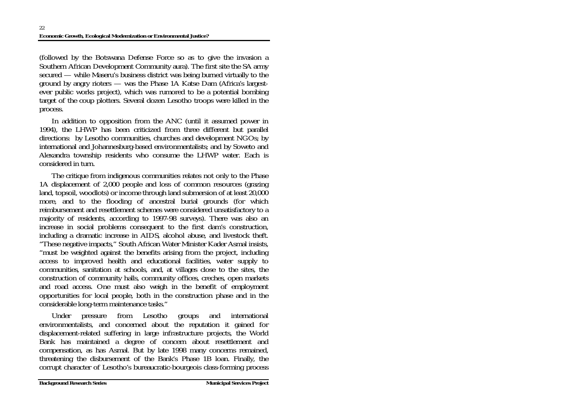(followed by the Botswana Defense Force so as to give the invasion a Southern African Development Community aura). The first site the SA army secured — while Maseru's business district was being burned virtually to the ground by angry rioters — was the Phase 1A Katse Dam (Africa's largestever public works project), which was rumored to be a potential bombing target of the coup plotters. Several dozen Lesotho troops were killed in the process.

In addition to opposition from the ANC (until it assumed power in 1994), the LHWP has been criticized from three different but parallel directions: by Lesotho communities, churches and development NGOs; by international and Johannesburg-based environmentalists; and by Soweto and Alexandra township residents who consume the LHWP water. Each is considered in turn.

The critique from indigenous communities relates not only to the Phase 1A displacement of 2,000 people and loss of common resources (grazing land, topsoil, woodlots) or income through land submersion of at least 20,000 more, and to the flooding of ancestral burial grounds (for which reimbursement and resettlement schemes were considered unsatisfactory to a majority of residents, according to 1997-98 surveys). There was also an increase in social problems consequent to the first dam's construction, including a dramatic increase in AIDS, alcohol abuse, and livestock theft. "These negative impacts," South African Water Minister Kader Asmal insists, "must be weighted against the benefits arising from the project, including access to improved health and educational facilities, water supply to communities, sanitation at schools, and, at villages close to the sites, the construction of community halls, community offices, creches, open markets and road access. One must also weigh in the benefit of employment opportunities for local people, both in the construction phase and in the considerable long-term maintenance tasks."

Under pressure from Lesotho groups and international environmentalists, and concerned about the reputation it gained for displacement-related suffering in large infrastructure projects, the World Bank has maintained a degree of concern about resettlement and compensation, as has Asmal. But by late 1998 many concerns remained, threatening the disbursement of the Bank's Phase 1B loan. Finally, the corrupt character of Lesotho's bureaucratic-bourgeois class-forming process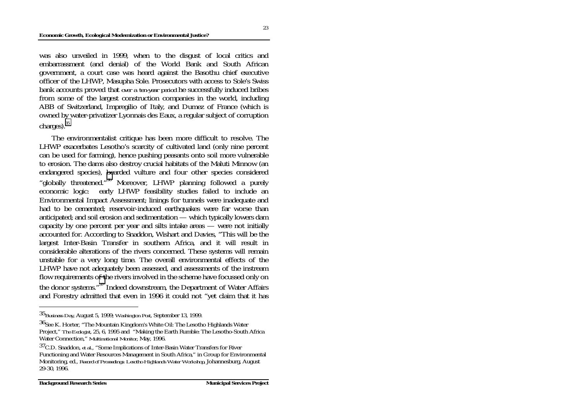was also unveiled in 1999, when to the disgust of local critics and embarrassment (and denial) of the World Bank and South African government, a court case was heard against the Basothu chief executive officer of the LHWP, Masupha Sole. Prosecutors with access to Sole's Swiss bank accounts proved that *over a ten-year period* he successfully induced bribes from some of the largest construction companies in the world, including ABB of Switzerland, Impregilio of Italy, and Dumez of France (which is owned by water-privatizer Lyonnais des Eaux, a regular subject of corruption charges).<sup>35</sup>

The environmentalist critique has been more difficult to resolve. The LHWP exacerbates Lesotho's scarcity of cultivated land (only nine percent can be used for farming), hence pushing peasants onto soil more vulnerable to erosion. The dams also destroy crucial habitats of the Maluti Minnow (an endangered species), bearded vulture and four other species considered "globally threatened."36 Moreover, LHWP planning followed a purely economic logic: early LHWP feasibility studies failed to include an Environmental Impact Assessment; linings for tunnels were inadequate and had to be cemented: reservoir-induced earthquakes were far worse than anticipated; and soil erosion and sedimentation — which typically lowers dam capacity by one percent per year and silts intake areas — were not initially accounted for. According to Snaddon, Wishart and Davies, "This will be the largest Inter-Basin Transfer in southern Africa, and it will result in considerable alterations of the rivers concerned. These systems will remain unstable for a very long time. The overall environmental effects of the LHWP have not adequately been assessed, and assessments of the instream flow requirements of the rivers involved in the scheme have focussed only on the donor systems."37 Indeed downstream, the Department of Water Affairs and Forestry admitted that even in 1996 it could not "yet claim that it has

<sup>35</sup>*Business Day*, August 5, 1999; *Washington Post*, September 13, 1999.

<sup>36</sup>See K. Horter, "The Mountain Kingdom's White Oil: The Lesotho Highlands Water Project," *The Ecologist*, 25, 6, 1995 and "Making the Earth Rumble: The Lesotho-South Africa Water Connection," *Multinational Monitor*, May, 1996.

<sup>37</sup>C.D. Snaddon, *et al*., "Some Implications of Inter-Basin Water Transfers for River Functioning and Water Resources Management in South Africa," in Group for Environmental Monitoring, ed., *Record of Proceedings: Lesotho Highlands Water Workshop*, Johannesburg, August 29-30, 1996.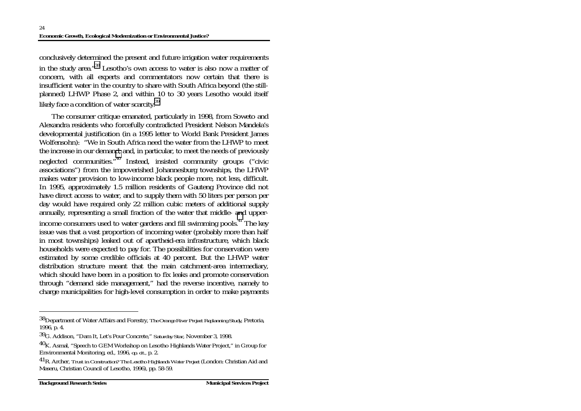conclusively determined the present and future irrigation water requirements in the study area."38 Lesotho's own access to water is also now a matter of concern, with all experts and commentators now certain that there is insufficient water in the country to share with South Africa beyond (the stillplanned) LHWP Phase 2, and within 10 to 30 years Lesotho would itself likely face a condition of water scarcity.<sup>39</sup>

The consumer critique emanated, particularly in 1998, from Soweto and Alexandra residents who forcefully contradicted President Nelson Mandela's developmental justification (in a 1995 letter to World Bank President James Wolfensohn): "We in South Africa need the water from the LHWP to meet the increase in our demand, and, in particular, to meet the needs of previously neglected communities."<sup>40</sup> Instead, insisted community groups ("civic associations") from the impoverished Johannesburg townships, the LHWP makes water provision to low-income black people more, not less, difficult. In 1995, approximately 1.5 million residents of Gauteng Province did not have direct access to water, and to supply them with 50 liters per person per day would have required only 22 million cubic meters of additional supply annually, representing a small fraction of the water that middle- and upperincome consumers used to water gardens and fill swimming pools.<sup>41</sup> The key issue was that a vast proportion of incoming water (probably more than half in most townships) leaked out of apartheid-era infrastructure, which black households were expected to pay for. The possibilities for conservation were estimated by some credible officials at 40 percent. But the LHWP water distribution structure meant that the main catchment-area intermediary, which should have been in a position to fix leaks and promote conservation through "demand side management," had the reverse incentive, namely to charge municipalities for high-level consumption in order to make payments

<sup>38</sup>Department of Water Affairs and Forestry, *The Orange River Project Replanning Study*, Pretoria, 1996, p. 4.

<sup>39</sup>G. Addison, "Dam It, Let's Pour Concrete," *Saturday Star*, November 3, 1998.

<sup>40</sup>K. Asmal, "Speech to GEM Workshop on Lesotho Highlands Water Project," in Group for Environmental Monitoring, ed., 1996, *op. cit.,* p. 2.

<sup>41</sup>R. Archer, *Trust in Construction? The Lesotho Highlands Water Project* (London: Christian Aid and Maseru, Christian Council of Lesotho, 1996), pp. 58-59.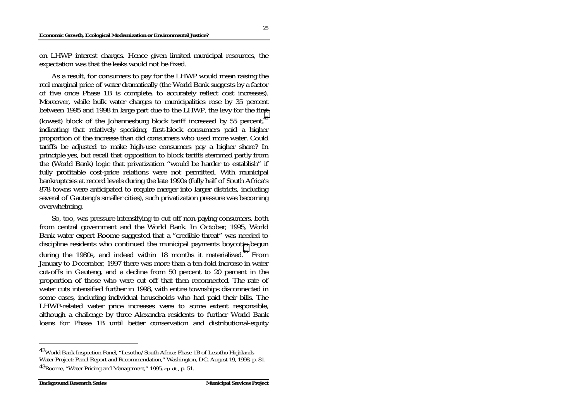#### **Economic Growth, Ecological Modernization or Environmental Justice?**

on LHWP interest charges. Hence given limited municipal resources, the expectation was that the leaks would not be fixed.

As a result, for consumers to pay for the LHWP would mean raising the real marginal price of water dramatically (the World Bank suggests by a factor of five once Phase 1B is complete, to accurately reflect cost increases). Moreover, while bulk water charges to municipalities rose by 35 percent between 1995 and 1998 in large part due to the LHWP, the levy for the first (lowest) block of the Johannesburg block tariff increased by 55 percent,  $42$ indicating that relatively speaking, first-block consumers paid a higher proportion of the increase than did consumers who used more water. Could tariffs be adjusted to make high-use consumers pay a higher share? In principle yes, but recall that opposition to block tariffs stemmed partly from the (World Bank) logic that privatization "would be harder to establish" if fully profitable cost-price relations were not permitted. With municipal bankruptcies at record levels during the late 1990s (fully half of South Africa's 878 towns were anticipated to require merger into larger districts, including several of Gauteng's smaller cities), such privatization pressure was becoming overwhelming.

So, too, was pressure intensifying to cut off non-paying consumers, both from central government and the World Bank. In October, 1995, World Bank water expert Roome suggested that a "credible threat" was needed to discipline residents who continued the municipal payments boycotts begun during the 1980s, and indeed within 18 months it materialized.<sup>43</sup> From January to December, 1997 there was more than a ten-fold increase in water cut-offs in Gauteng, and a decline from 50 percent to 20 percent in the proportion of those who were cut off that then reconnected. The rate of water cuts intensified further in 1998, with entire townships disconnected in some cases, including individual households who had paid their bills. The LHWP-related water price increases were to some extent responsible, although a challenge by three Alexandra residents to further World Bank loans for Phase 1B until better conservation and distributional-equity

<sup>42</sup>World Bank Inspection Panel, "Lesotho/South Africa: Phase 1B of Lesotho Highlands Water Project: Panel Report and Recommendation," Washington, DC, August 19, 1998, p. 81.

<sup>43</sup>Roome, "Water Pricing and Management," 1995, *op. cit.,* p. 51.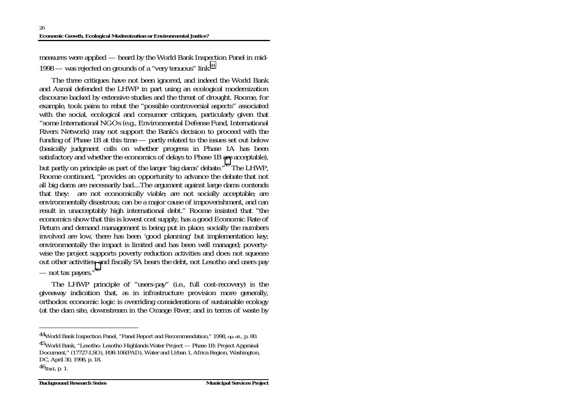measures were applied — heard by the World Bank Inspection Panel in mid-1998 — was rejected on grounds of a "very tenuous" link.<sup>44</sup>

The three critiques have not been ignored, and indeed the World Bank and Asmal defended the LHWP in part using an ecological modernization discourse backed by extensive studies and the threat of drought. Roome, for example, took pains to rebut the "possible controversial aspects" associated with the social, ecological and consumer critiques, particularly given that "some International NGOs (e.g., Environmental Defense Fund, International Rivers Network) may not support the Bank's decision to proceed with the funding of Phase 1B at this time — partly related to the issues set out below (basically judgment calls on whether progress in Phase 1A has been satisfactory and whether the economics of delays to Phase 1B are acceptable), but partly on principle as part of the larger 'big dams' debate."45 The LHWP, Roome continued, "provides an opportunity to advance the debate that not all big dams are necessarily bad....The argument against large dams contends that they: are not economically viable; are not socially acceptable; are environmentally disastrous; can be a major cause of impoverishment, and can result in unacceptably high international debt." Roome insisted that "the economics show that this is lowest cost supply, has a good Economic Rate of Return and demand management is being put in place; socially the numbers involved are low, there has been 'good planning' but implementation key; environmentally the impact is limited and has been well managed; povertywise the project supports poverty reduction activities and does not squeeze out other activities; and fiscally SA bears the debt, not Lesotho and users pay — not tax payers."46

The LHWP principle of "users-pay" (i.e., full cost-recovery) is the giveaway indication that, as in infrastructure provision more generally, orthodox economic logic is overriding considerations of sustainable ecology (at the dam site, downstream in the Orange River, and in terms of waste by

<sup>44</sup>World Bank Inspection Panel, "Panel Report and Recommendation," 1998, *op. cit.,* p. 80. 45World Bank, "Lesotho: Lesotho Highlands Water Project — Phase 1B: Project Appraisal Document," (17727-LSO), R98-106(PAD), Water and Urban 1, Africa Region, Washington, DC, April 30, 1998, p. 18.

<sup>46</sup>*Ibid.*, p. 1.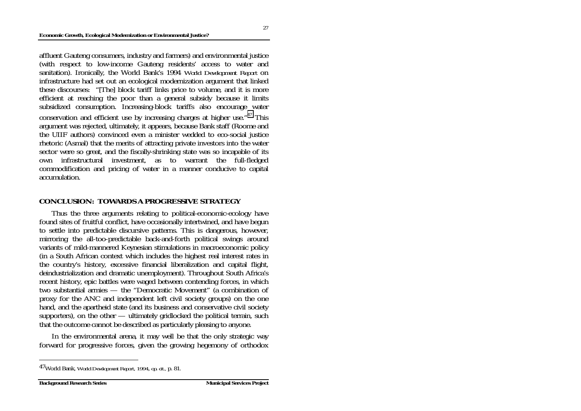affluent Gauteng consumers, industry and farmers) and environmental justice (with respect to low-income Gauteng residents' access to water and sanitation). Ironically, the World Bank's 1994 *World Development Report* on infrastructure had set out an ecological modernization argument that linked these discourses: "[The] block tariff links price to volume, and it is more efficient at reaching the poor than a general subsidy because it limits subsidized consumption. Increasing-block tariffs also encourage water conservation and efficient use by increasing charges at higher use.<sup> $n47$ </sup> This argument was rejected, ultimately, it appears, because Bank staff (Roome and the UIIF authors) convinced even a minister wedded to eco-social justice rhetoric (Asmal) that the merits of attracting private investors into the water sector were so great, and the fiscally-shrinking state was so incapable of its own infrastructural investment, as to warrant the full-fledged commodification and pricing of water in a manner conducive to capital accumulation.

### **CONCLUSION: TOWARDS A PROGRESSIVE STRATEGY**

Thus the three arguments relating to political-economic-ecology have found sites of fruitful conflict, have occasionally intertwined, and have begun to settle into predictable discursive patterns. This is dangerous, however, mirroring the all-too-predictable back-and-forth political swings around variants of mild-mannered Keynesian stimulations in macroeconomic policy (in a South African context which includes the highest real interest rates in the country's history, excessive financial liberalization and capital flight, deindustrialization and dramatic unemployment). Throughout South Africa's recent history, epic battles were waged between contending forces, in which two substantial armies — the "Democratic Movement" (a combination of proxy for the ANC and independent left civil society groups) on the one hand, and the apartheid state (and its business and conservative civil society supporters), on the other — ultimately gridlocked the political terrain, such that the outcome cannot be described as particularly pleasing to anyone.

In the environmental arena, it may well be that the only strategic way forward for progressive forces, given the growing hegemony of orthodox

<sup>47</sup>World Bank, *World Development Report, 1994*, *op. cit.,* p. 81.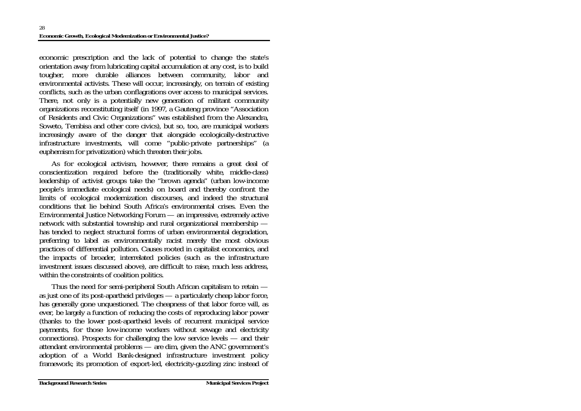economic prescription and the lack of potential to change the state's orientation away from lubricating capital accumulation at any cost, is to build tougher, more durable alliances between community, labor and environmental activists. These will occur, increasingly, on terrain of existing conflicts, such as the urban conflagrations over access to municipal services. There, not only is a potentially new generation of militant community organizations reconstituting itself (in 1997, a Gauteng province "Association of Residents and Civic Organizations" was established from the Alexandra, Soweto, Tembisa and other core civics), but so, too, are municipal workers increasingly aware of the danger that alongside ecologically-destructive infrastructure investments, will come "public-private partnerships" (a euphemism for privatization) which threaten their jobs.

As for ecological activism, however, there remains a great deal of conscientization required before the (traditionally white, middle-class) leadership of activist groups take the "brown agenda" (urban low-income people's immediate ecological needs) on board and thereby confront the limits of ecological modernization discourses, and indeed the structural conditions that lie behind South Africa's environmental crises. Even the Environmental Justice Networking Forum — an impressive, extremely active network with substantial township and rural organizational membership has tended to neglect structural forms of urban environmental degradation, preferring to label as environmentally racist merely the most obvious practices of differential pollution. Causes rooted in capitalist economics, and the impacts of broader, interrelated policies (such as the infrastructure investment issues discussed above), are difficult to raise, much less address, within the constraints of coalition politics.

Thus the need for semi-peripheral South African capitalism to retain as just one of its post-apartheid privileges — a particularly cheap labor force, has generally gone unquestioned. The cheapness of that labor force will, as ever, be largely a function of reducing the costs of reproducing labor power (thanks to the lower post-apartheid levels of recurrent municipal service payments, for those low-income workers without sewage and electricity connections). Prospects for challenging the low service levels — and their attendant environmental problems — are dim, given the ANC government's adoption of a World Bank-designed infrastructure investment policy framework; its promotion of export-led, electricity-guzzling zinc instead of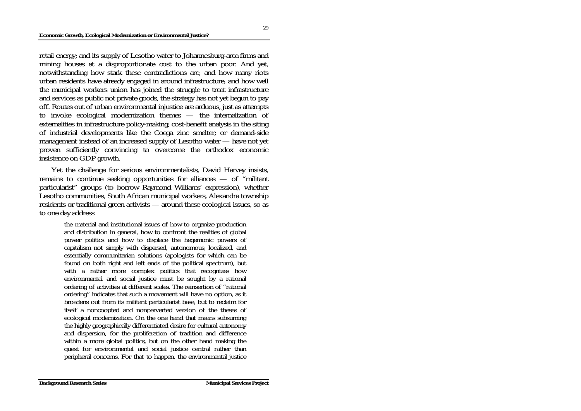retail energy; and its supply of Lesotho water to Johannesburg-area firms and mining houses at a disproportionate cost to the urban poor. And yet, notwithstanding how stark these contradictions are, and how many riots urban residents have already engaged in around infrastructure, and how well the municipal workers union has joined the struggle to treat infrastructure and services as public not private goods, the strategy has not yet begun to pay off. Routes out of urban environmental injustice are arduous, just as attempts to invoke ecological modernization themes — the internalization of externalities in infrastructure policy-making; cost-benefit analysis in the siting of industrial developments like the Coega zinc smelter; or demand-side management instead of an increased supply of Lesotho water — have not yet proven sufficiently convincing to overcome the orthodox economic insistence on GDP growth.

Yet the challenge for serious environmentalists, David Harvey insists, remains to continue seeking opportunities for alliances — of "militant particularist" groups (to borrow Raymond Williams' expression), whether Lesotho communities, South African municipal workers, Alexandra township residents or traditional green activists — around these ecological issues, so as to one day address

> the material and institutional issues of how to organize production and distribution in general, how to confront the realities of global power politics and how to displace the hegemonic powers of capitalism not simply with dispersed, autonomous, localized, and essentially communitarian solutions (apologists for which can be found on both right and left ends of the political spectrum), but with a rather more complex politics that recognizes how environmental and social justice must be sought by a rational ordering of activities at different scales. The reinsertion of "rational ordering" indicates that such a movement will have no option, as it broadens out from its militant particularist base, but to reclaim for itself a noncoopted and nonperverted version of the theses of ecological modernization. On the one hand that means subsuming the highly geographically differentiated desire for cultural autonomy and dispersion, for the proliferation of tradition and difference within a more global politics, but on the other hand making the quest for environmental and social justice central rather than peripheral concerns. For that to happen, the environmental justice